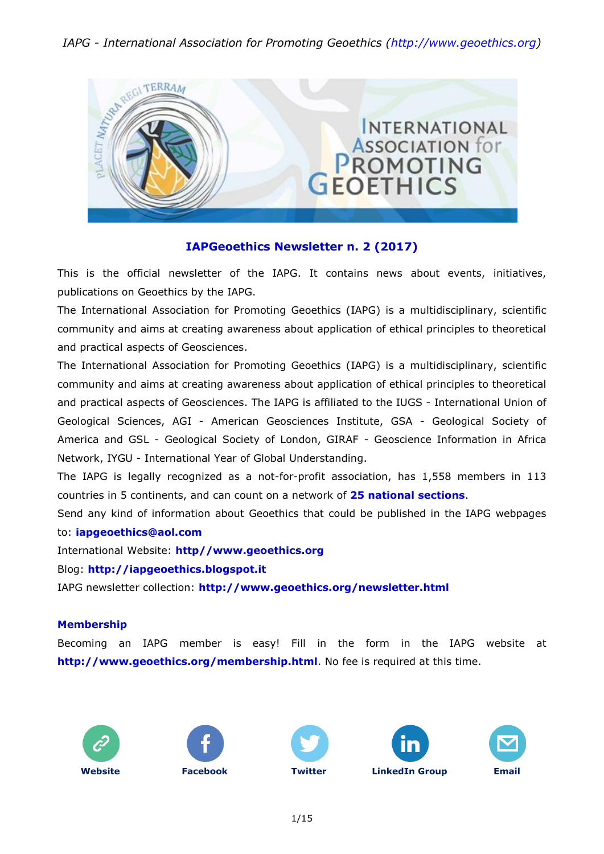

### **IAPGeoethics Newsletter n. 2 (2017)**

This is the official newsletter of the IAPG. It contains news about events, initiatives, publications on Geoethics by the IAPG.

The International Association for Promoting Geoethics (IAPG) is a multidisciplinary, scientific community and aims at creating awareness about application of ethical principles to theoretical and practical aspects of Geosciences.

The International Association for Promoting Geoethics (IAPG) is a multidisciplinary, scientific community and aims at creating awareness about application of ethical principles to theoretical and practical aspects of Geosciences. The IAPG is affiliated to the IUGS - International Union of Geological Sciences, AGI - American Geosciences Institute, GSA - Geological Society of America and GSL - Geological Society of London, GIRAF - Geoscience Information in Africa Network, IYGU - International Year of Global Understanding.

The IAPG is legally recognized as a not-for-profit association, has 1,558 members in 113 countries in 5 continents, and can count on a network of **25 national [sections](http://www.geoethics.org/sections.html)**.

Send any kind of information about Geoethics that could be published in the IAPG webpages to: **[iapgeoethics@aol.com](mailto:iapgeoethics@aol.com?subject=IAPG%20newsletter)**

International Website: **[http//www.geoethics.org](http://www.geoethics.org/)**

Blog: **[http://iapgeoethics.blogspot.it](http://iapgeoethics.blogspot.it/)**

IAPG newsletter collection: **<http://www.geoethics.org/newsletter.html>**

#### **Membership**

Becoming an IAPG member is easy! Fill in the form in the IAPG website at **<http://www.geoethics.org/membership.html>**. No fee is required at this time.









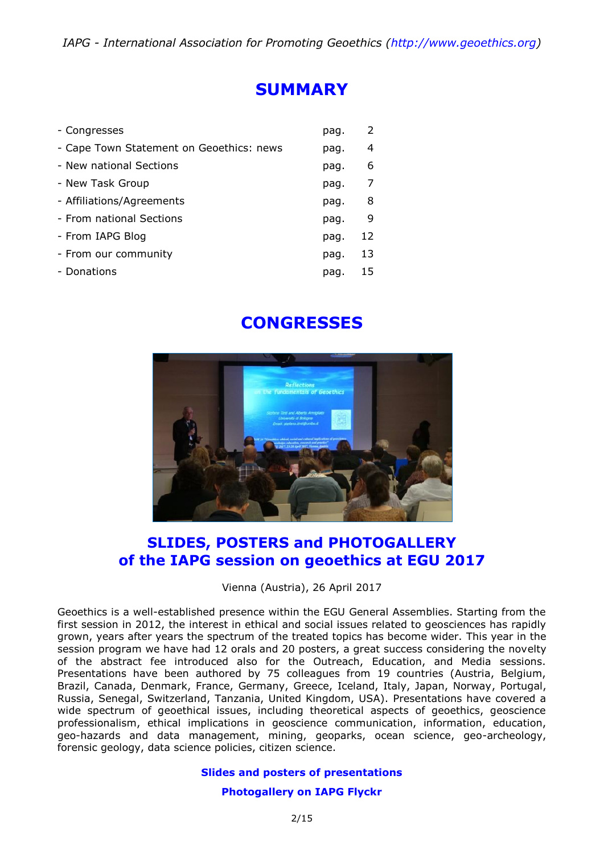## **SUMMARY**

| - Congresses                             | pag. | 2  |
|------------------------------------------|------|----|
| - Cape Town Statement on Geoethics: news | pag. | 4  |
| - New national Sections                  | pag. | 6  |
| - New Task Group                         | pag. | 7  |
| - Affiliations/Agreements                | pag. | 8  |
| - From national Sections                 | pag. | -9 |
| - From IAPG Blog                         | pag. | 12 |
| - From our community                     | pag. | 13 |
| - Donations                              | pag. | 15 |

# **CONGRESSES**



### **SLIDES, POSTERS and PHOTOGALLERY of the IAPG session on geoethics at EGU 2017**

Vienna (Austria), 26 April 2017

Geoethics is a well-established presence within the EGU General Assemblies. Starting from the first session in 2012, the interest in ethical and social issues related to geosciences has rapidly grown, years after years the spectrum of the treated topics has become wider. This year in the session program we have had 12 orals and 20 posters, a great success considering the novelty of the abstract fee introduced also for the Outreach, Education, and Media sessions. Presentations have been authored by 75 colleagues from 19 countries (Austria, Belgium, Brazil, Canada, Denmark, France, Germany, Greece, Iceland, Italy, Japan, Norway, Portugal, Russia, Senegal, Switzerland, Tanzania, United Kingdom, USA). Presentations have covered a wide spectrum of geoethical issues, including theoretical aspects of geoethics, geoscience professionalism, ethical implications in geoscience communication, information, education, geo-hazards and data management, mining, geoparks, ocean science, geo-archeology, forensic geology, data science policies, citizen science.

#### **[Slides and posters of presentations](http://www.geoethics.org/egu2017-eos14)**

#### **[Photogallery on IAPG Flyckr](https://www.flickr.com/photos/125283529@N05/sets/72157680720406712)**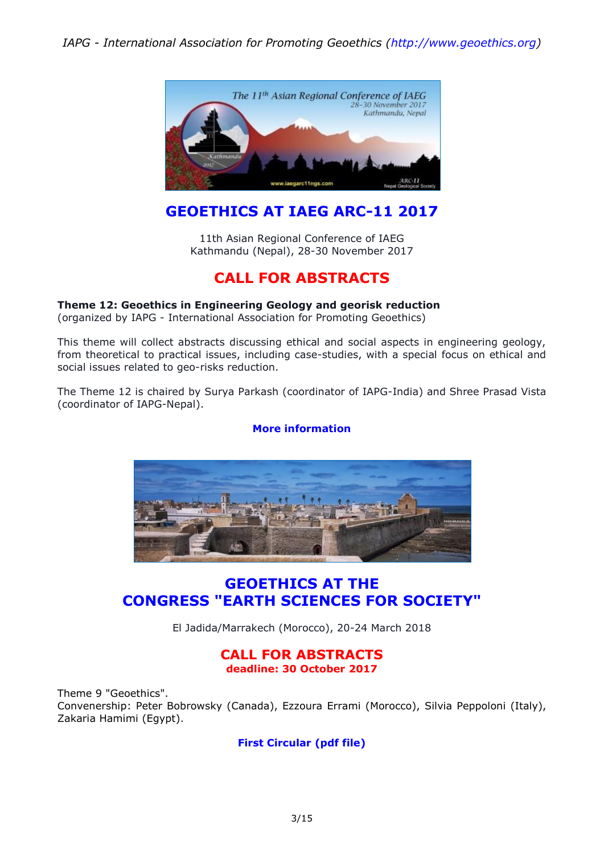

## **GEOETHICS AT IAEG ARC-11 2017**

11th Asian Regional Conference of IAEG Kathmandu (Nepal), 28-30 November 2017

## **CALL FOR ABSTRACTS**

#### **Theme 12: Geoethics in Engineering Geology and georisk reduction**

(organized by IAPG - International Association for Promoting Geoethics)

This theme will collect abstracts discussing ethical and social aspects in engineering geology, from theoretical to practical issues, including case-studies, with a special focus on ethical and social issues related to geo-risks reduction.

The Theme 12 is chaired by Surya Parkash (coordinator of IAPG-India) and Shree Prasad Vista (coordinator of IAPG-Nepal).

#### **[More information](http://iapgeoethics.blogspot.it/2017/06/11th-asian-regional-conference-of-iaeg.html)**



### **GEOETHICS AT THE CONGRESS "EARTH SCIENCES FOR SOCIETY"**

El Jadida/Marrakech (Morocco), 20-24 March 2018

#### **CALL FOR ABSTRACTS deadline: 30 October 2017**

Theme 9 "Geoethics". Convenership: Peter Bobrowsky (Canada), Ezzoura Errami (Morocco), Silvia Peppoloni (Italy), Zakaria Hamimi (Egypt).

### **First [Circular](http://iugs.org/uploads/First%20circular%204-1-2017-1.pdf) (pdf file)**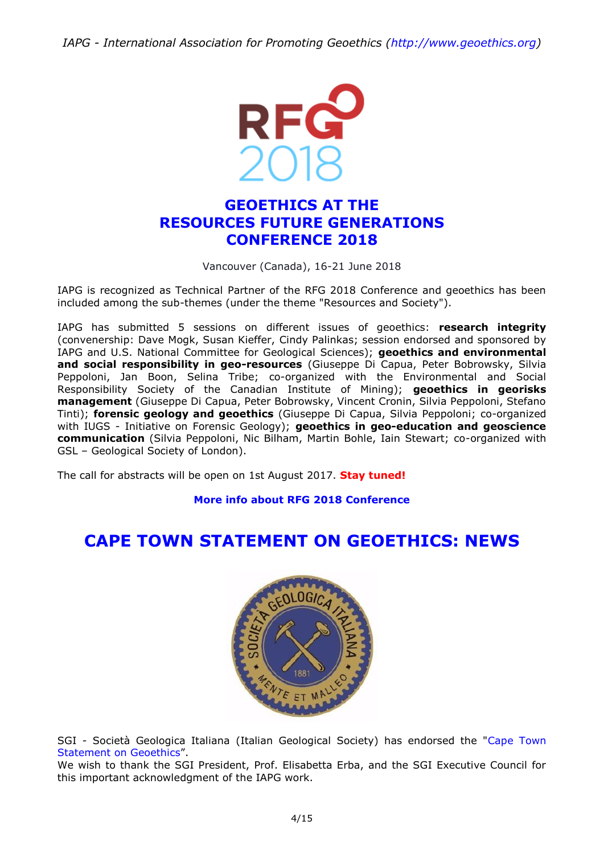

## **GEOETHICS AT THE RESOURCES FUTURE GENERATIONS CONFERENCE 2018**

#### Vancouver (Canada), 16-21 June 2018

IAPG is recognized as Technical Partner of the RFG 2018 Conference and geoethics has been included among the sub-themes (under the theme "Resources and Society").

IAPG has submitted 5 sessions on different issues of geoethics: **research integrity** (convenership: Dave Mogk, Susan Kieffer, Cindy Palinkas; session endorsed and sponsored by IAPG and U.S. National Committee for Geological Sciences); **geoethics and environmental and social responsibility in geo-resources** (Giuseppe Di Capua, Peter Bobrowsky, Silvia Peppoloni, Jan Boon, Selina Tribe; co-organized with the Environmental and Social Responsibility Society of the Canadian Institute of Mining); **geoethics in georisks management** (Giuseppe Di Capua, Peter Bobrowsky, Vincent Cronin, Silvia Peppoloni, Stefano Tinti); **forensic geology and geoethics** (Giuseppe Di Capua, Silvia Peppoloni; co-organized with IUGS - Initiative on Forensic Geology); **geoethics in geo-education and geoscience communication** (Silvia Peppoloni, Nic Bilham, Martin Bohle, Iain Stewart; co-organized with GSL – Geological Society of London).

The call for abstracts will be open on 1st August 2017. **Stay tuned!**

**More info about RFG 2018 [Conference](http://www.rfg2018.org/)**

# **CAPE TOWN STATEMENT ON GEOETHICS: NEWS**



SGI - Società Geologica Italiana (Italian Geological Society) has endorsed the ["Cape Town](http://www.geoethics.org/ctsg)  [Statement on Geoethics](http://www.geoethics.org/ctsg)".

We wish to thank the SGI President, Prof. Elisabetta Erba, and the SGI Executive Council for this important acknowledgment of the IAPG work.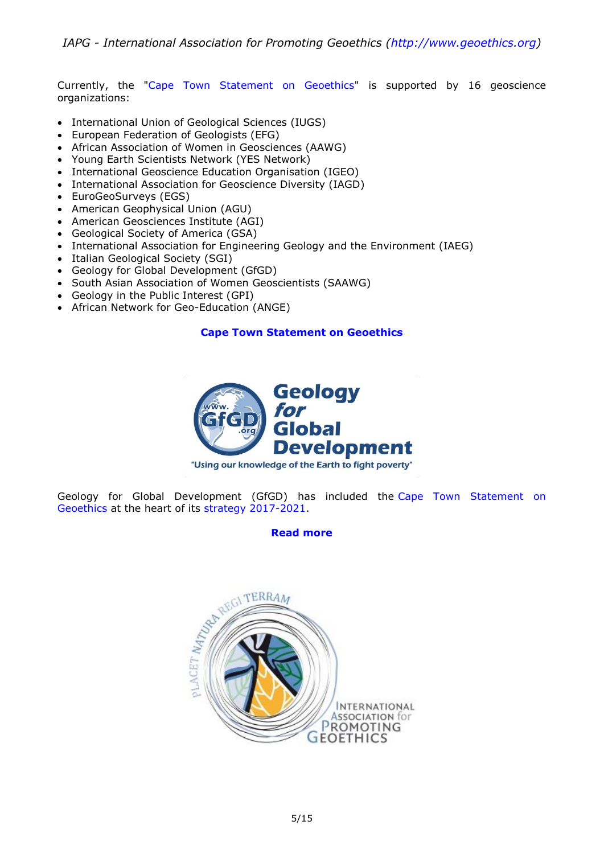Currently, the ["Cape Town Statement on Geoethics"](http://www.geoethics.org/ctsg) is supported by 16 geoscience organizations:

- International Union of Geological Sciences (IUGS)
- European Federation of Geologists (EFG)
- African Association of Women in Geosciences (AAWG)
- Young Earth Scientists Network (YES Network)
- International Geoscience Education Organisation (IGEO)
- International Association for Geoscience Diversity (IAGD)
- EuroGeoSurveys (EGS)
- American Geophysical Union (AGU)
- American Geosciences Institute (AGI)
- Geological Society of America (GSA)
- International Association for Engineering Geology and the Environment (IAEG)
- Italian Geological Society (SGI)
- Geology for Global Development (GfGD)
- South Asian Association of Women Geoscientists (SAAWG)
- Geology in the Public Interest (GPI)
- African Network for Geo-Education (ANGE)

### **Cape Town [Statement](http://www.geoethics.org/ctsg) on Geoethics**



Geology for Global Development (GfGD) has included the [Cape Town Statement on](http://www.geoethics.org/ctsg)  [Geoethics](http://www.geoethics.org/ctsg) at the heart of its [strategy 2017-2021.](http://www.gfgd.org/strategy)

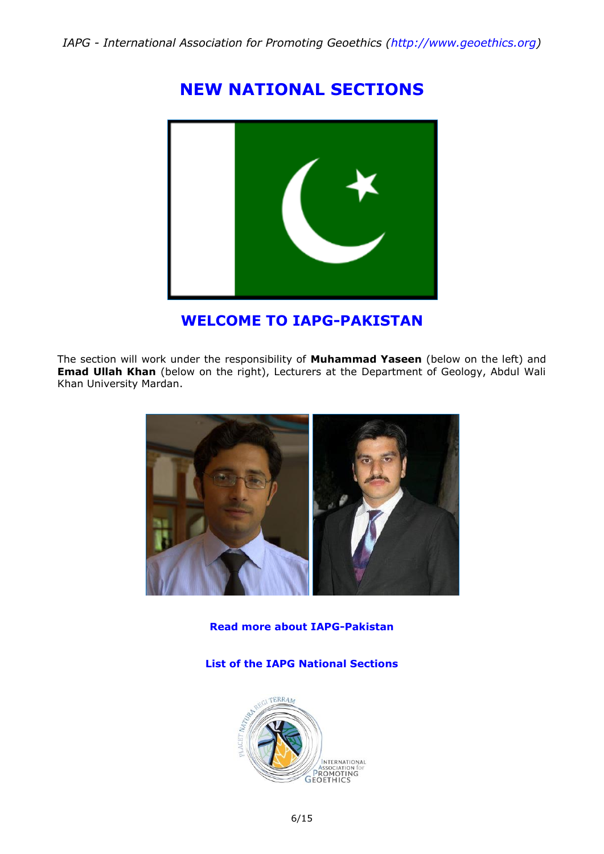# **NEW NATIONAL SECTIONS**



## **WELCOME TO IAPG-PAKISTAN**

The section will work under the responsibility of **Muhammad Yaseen** (below on the left) and **Emad Ullah Khan** (below on the right), Lecturers at the Department of Geology, Abdul Wali Khan University Mardan.



**Read more about [IAPG-Pakistan](http://iapgeoethics.blogspot.it/2017/03/the-iapg-section-of-pakistan-welcome-to.html)**

**List of the IAPG National [Sections](http://www.geoethics.org/sections)**

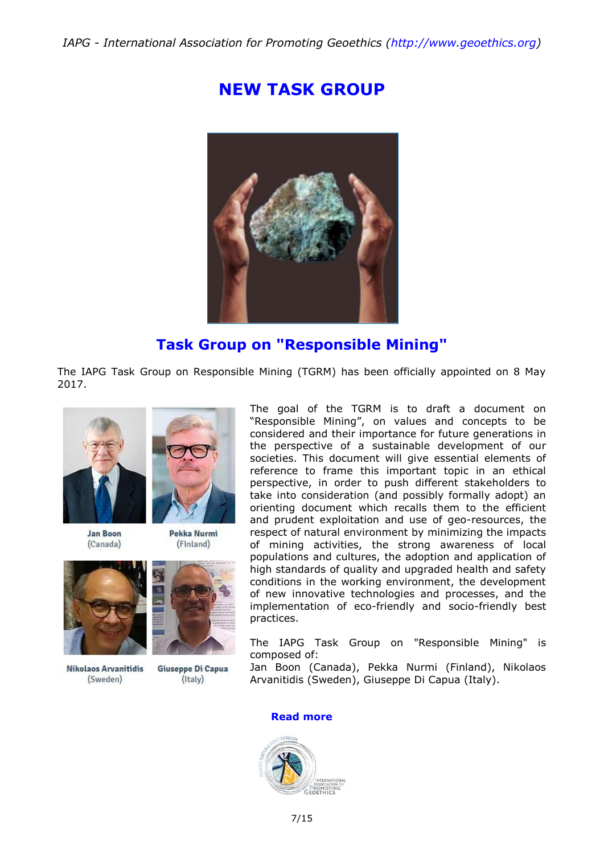# **NEW TASK GROUP**



## **Task Group on "Responsible Mining"**

The IAPG Task Group on Responsible Mining (TGRM) has been officially appointed on 8 May 2017.



**Jan Boon**  $(Canada)$ 



Pekka Nurmi (Finland)



**Nikolaos Arvanitidis** (Sweden)



Giuseppe Di Capua  $($ Italy $)$ 

The goal of the TGRM is to draft a document on "Responsible Mining", on values and concepts to be considered and their importance for future generations in the perspective of a sustainable development of our societies. This document will give essential elements of reference to frame this important topic in an ethical perspective, in order to push different stakeholders to take into consideration (and possibly formally adopt) an orienting document which recalls them to the efficient and prudent exploitation and use of geo-resources, the respect of natural environment by minimizing the impacts of mining activities, the strong awareness of local populations and cultures, the adoption and application of high standards of quality and upgraded health and safety conditions in the working environment, the development of new innovative technologies and processes, and the implementation of eco-friendly and socio-friendly best practices.

The IAPG Task Group on "Responsible Mining" is composed of:

Jan Boon (Canada), Pekka Nurmi (Finland), Nikolaos Arvanitidis (Sweden), Giuseppe Di Capua (Italy).

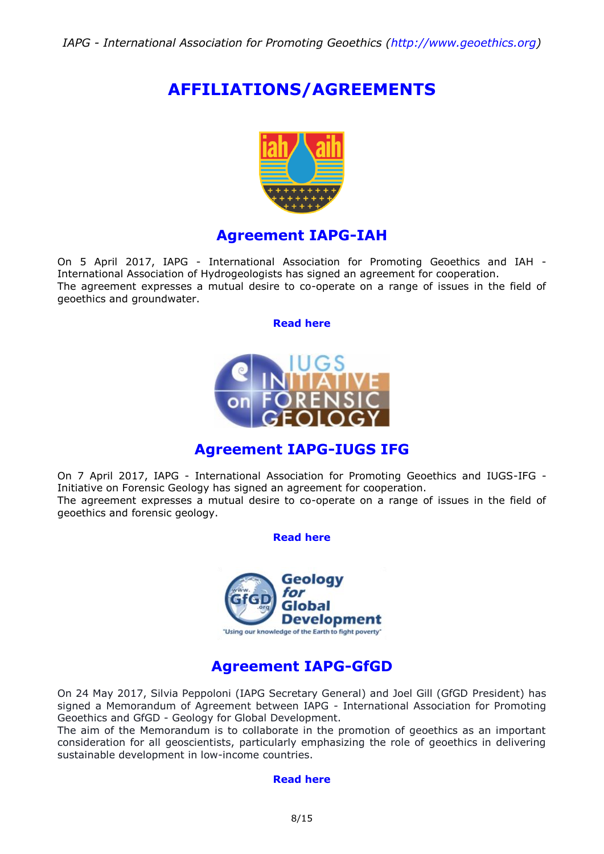# **AFFILIATIONS/AGREEMENTS**



### **Agreement IAPG-IAH**

On 5 April 2017, IAPG - International Association for Promoting Geoethics and IAH - International Association of Hydrogeologists has signed an agreement for cooperation. The agreement expresses a mutual desire to co-operate on a range of issues in the field of geoethics and groundwater.

#### **[Read here](http://www.geoethics.org/affiliations-agreements)**



## **Agreement IAPG-IUGS IFG**

On 7 April 2017, IAPG - International Association for Promoting Geoethics and IUGS-IFG - Initiative on Forensic Geology has signed an agreement for cooperation. The agreement expresses a mutual desire to co-operate on a range of issues in the field of geoethics and forensic geology.

**[Read here](http://www.geoethics.org/affiliations-agreements)**



### **Agreement IAPG-GfGD**

On 24 May 2017, Silvia Peppoloni (IAPG Secretary General) and Joel Gill (GfGD President) has signed a Memorandum of Agreement between IAPG - International Association for Promoting Geoethics and GfGD - Geology for Global Development.

The aim of the Memorandum is to collaborate in the promotion of geoethics as an important consideration for all geoscientists, particularly emphasizing the role of geoethics in delivering sustainable development in low-income countries.

#### **[Read here](http://www.geoethics.org/affiliations-agreements)**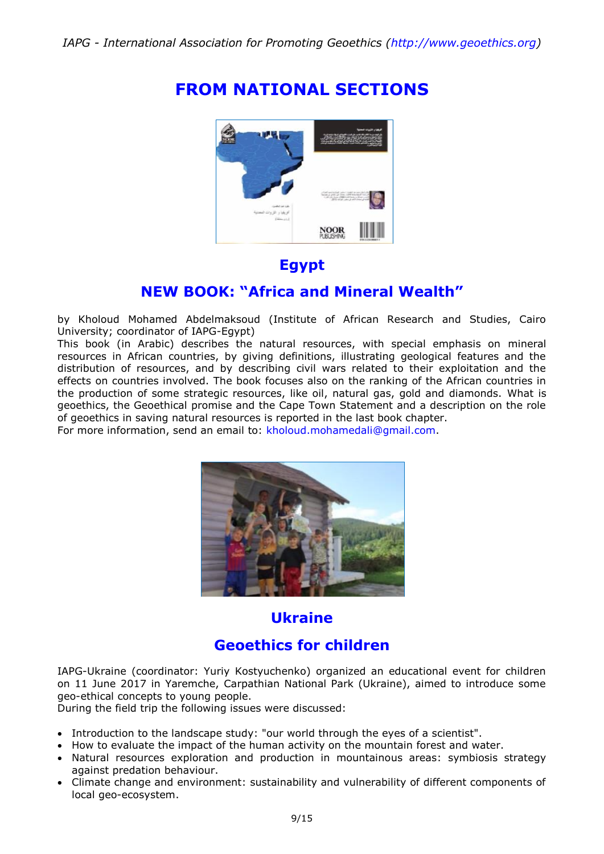# **FROM NATIONAL SECTIONS**



### **Egypt**

### **NEW BOOK: "Africa and Mineral Wealth"**

by Kholoud Mohamed Abdelmaksoud (Institute of African Research and Studies, Cairo University; coordinator of IAPG-Egypt)

This book (in Arabic) describes the natural resources, with special emphasis on mineral resources in African countries, by giving definitions, illustrating geological features and the distribution of resources, and by describing civil wars related to their exploitation and the effects on countries involved. The book focuses also on the ranking of the African countries in the production of some strategic resources, like oil, natural gas, gold and diamonds. What is geoethics, the Geoethical promise and the Cape Town Statement and a description on the role of geoethics in saving natural resources is reported in the last book chapter.

For more information, send an email to: [kholoud.mohamedali@gmail.com.](mailto:kholoud.mohamedali@gmail.com?subject=New%20book:%20Africa%20and%20Mineral%20Wealth)



## **Ukraine**

## **Geoethics for children**

IAPG-Ukraine (coordinator: Yuriy Kostyuchenko) organized an educational event for children on 11 June 2017 in Yaremche, Carpathian National Park (Ukraine), aimed to introduce some geo-ethical concepts to young people.

During the field trip the following issues were discussed:

- Introduction to the landscape study: "our world through the eyes of a scientist".
- How to evaluate the impact of the human activity on the mountain forest and water.
- Natural resources exploration and production in mountainous areas: symbiosis strategy against predation behaviour.
- Climate change and environment: sustainability and vulnerability of different components of local geo-ecosystem.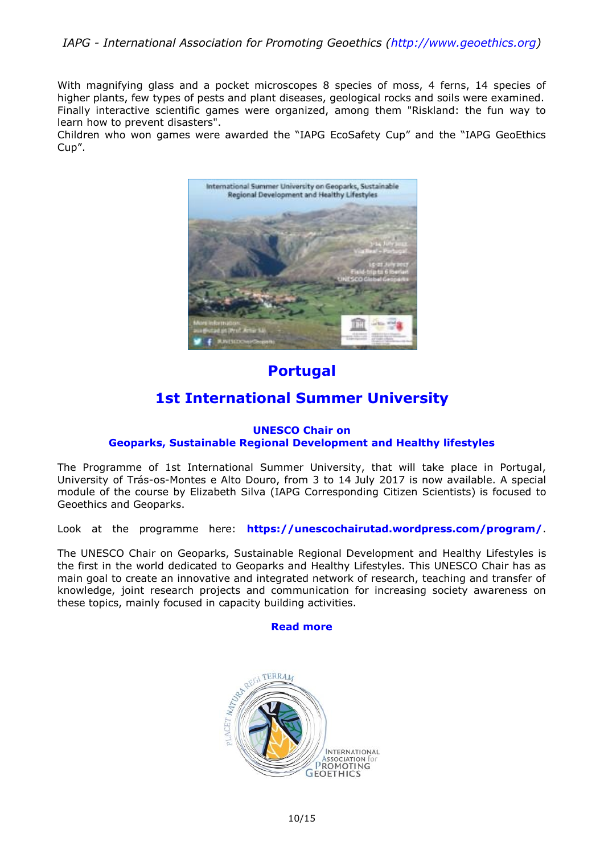With magnifying glass and a pocket microscopes 8 species of moss, 4 ferns, 14 species of higher plants, few types of pests and plant diseases, geological rocks and soils were examined. Finally interactive scientific games were organized, among them "Riskland: the fun way to learn how to prevent disasters".

Children who won games were awarded the "IAPG EcoSafety Cup" and the "IAPG GeoEthics Cup".



## **Portugal**

## **1st International Summer University**

#### **UNESCO Chair on Geoparks, Sustainable Regional Development and Healthy lifestyles**

The Programme of 1st International Summer University, that will take place in Portugal, University of Trás-os-Montes e Alto Douro, from 3 to 14 July 2017 is now available. A special module of the course by Elizabeth Silva (IAPG Corresponding Citizen Scientists) is focused to Geoethics and Geoparks.

Look at the programme here: **<https://unescochairutad.wordpress.com/program/>**.

The UNESCO Chair on Geoparks, Sustainable Regional Development and Healthy Lifestyles is the first in the world dedicated to Geoparks and Healthy Lifestyles. This UNESCO Chair has as main goal to create an innovative and integrated network of research, teaching and transfer of knowledge, joint research projects and communication for increasing society awareness on these topics, mainly focused in capacity building activities.

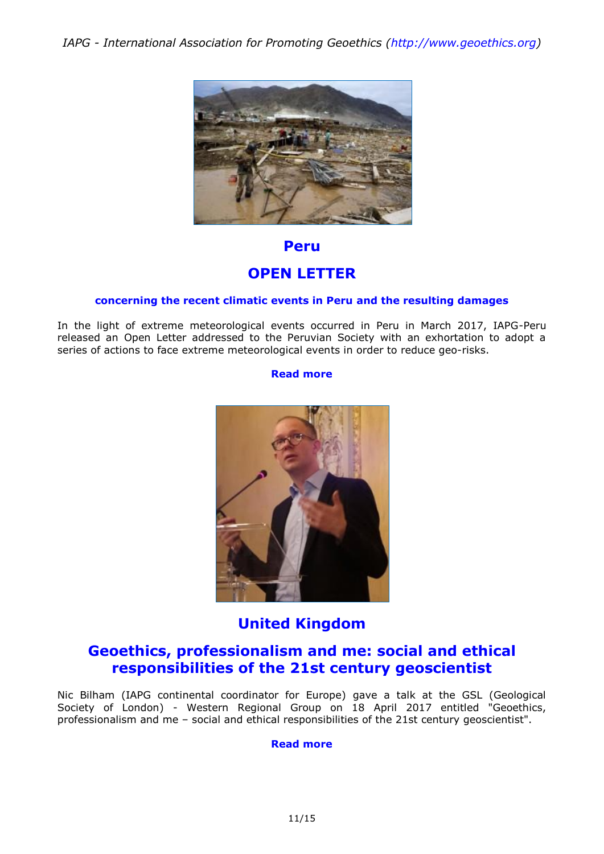

### **Peru**

### **OPEN LETTER**

#### **concerning the recent climatic events in Peru and the resulting damages**

In the light of extreme meteorological events occurred in Peru in March 2017, IAPG-Peru released an Open Letter addressed to the Peruvian Society with an exhortation to adopt a series of actions to face extreme meteorological events in order to reduce geo-risks.

#### **[Read more](http://iapgeoethics.blogspot.it/2017/03/open-letter-by-iapg-peru-concerning.html)**



# **United Kingdom**

### **Geoethics, professionalism and me: social and ethical responsibilities of the 21st century geoscientist**

Nic Bilham (IAPG continental coordinator for Europe) gave a talk at the GSL (Geological Society of London) - Western Regional Group on 18 April 2017 entitled "Geoethics, professionalism and me – social and ethical responsibilities of the 21st century geoscientist".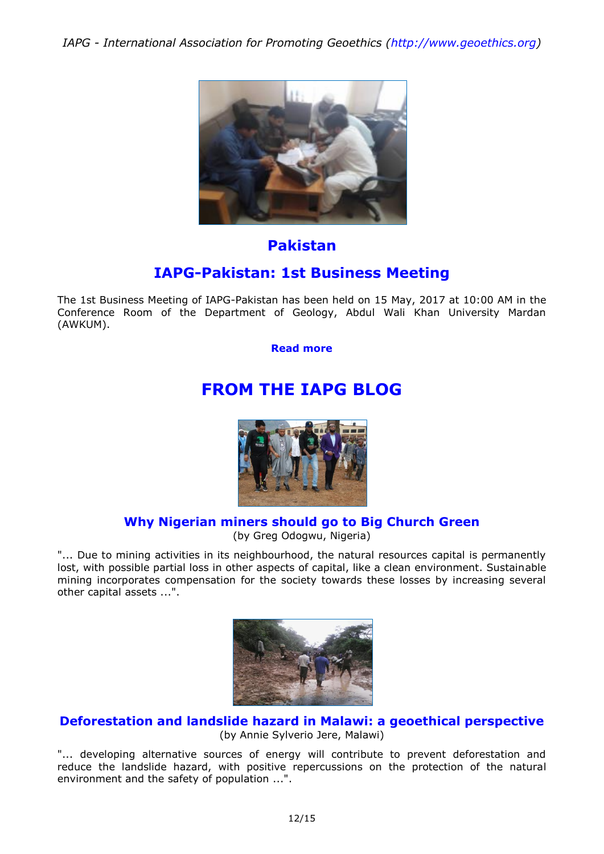

### **Pakistan**

## **IAPG-Pakistan: 1st Business Meeting**

The 1st Business Meeting of IAPG-Pakistan has been held on 15 May, 2017 at 10:00 AM in the Conference Room of the Department of Geology, Abdul Wali Khan University Mardan (AWKUM).

**[Read more](http://iapgeoethics.blogspot.it/2017/05/iapg-pakistan-1st-business-meeting.html)**

# **FROM THE IAPG BLOG**



## **[Why Nigerian miners should go to Big Church Green](http://iapgeoethics.blogspot.it/2017/05/why-nigerian-miners-should-go-to-big.html)**

(by Greg Odogwu, Nigeria)

"... Due to mining activities in its neighbourhood, the natural resources capital is permanently lost, with possible partial loss in other aspects of capital, like a clean environment. Sustainable mining incorporates compensation for the society towards these losses by increasing several other capital assets ...".



**[Deforestation and landslide hazard in Malawi: a geoethical perspective](http://iapgeoethics.blogspot.it/2017/05/deforestation-and-landslide-hazard-in.html)** (by Annie Sylverio Jere, Malawi)

"... developing alternative sources of energy will contribute to prevent deforestation and reduce the landslide hazard, with positive repercussions on the protection of the natural environment and the safety of population ...".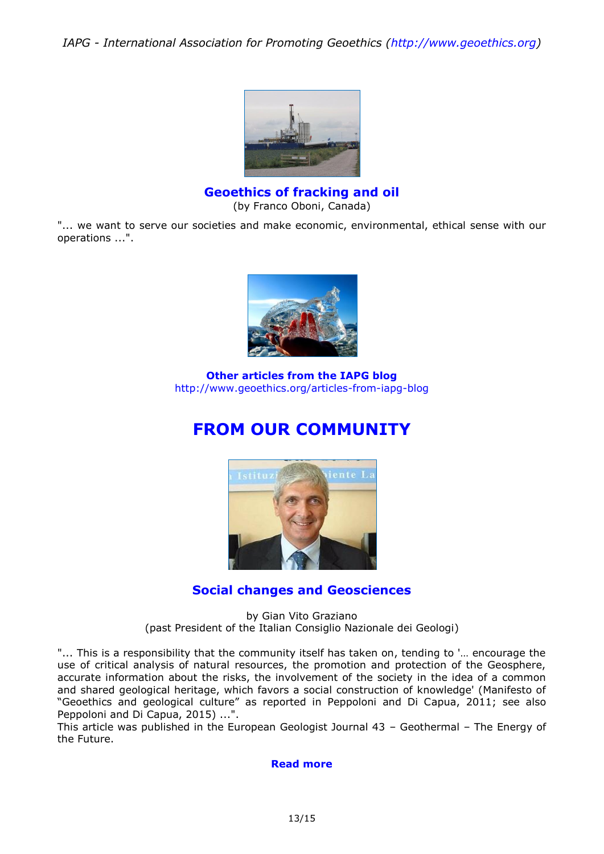

**[Geoethics](http://iapgeoethics.blogspot.it/2017/03/geoethics-of-fracking-and-oil-by-oboni.html) of fracking and oil** (by Franco Oboni, Canada)

"... we want to serve our societies and make economic, environmental, ethical sense with our operations ...".



**Other articles from the IAPG blog** <http://www.geoethics.org/articles-from-iapg-blog>

# **FROM OUR COMMUNITY**



### **[Social changes and Geosciences](http://eurogeologists.eu/european-geologist-journal-43-graziano-social-changes-and-geosciences/)**

by Gian Vito Graziano (past President of the Italian Consiglio Nazionale dei Geologi)

"... This is a responsibility that the community itself has taken on, tending to '… encourage the use of critical analysis of natural resources, the promotion and protection of the Geosphere, accurate information about the risks, the involvement of the society in the idea of a common and shared geological heritage, which favors a social construction of knowledge' (Manifesto of "Geoethics and geological culture" as reported in Peppoloni and Di Capua, 2011; see also Peppoloni and Di Capua, 2015) ...".

This article was published in the European Geologist Journal 43 – Geothermal – The Energy of the Future.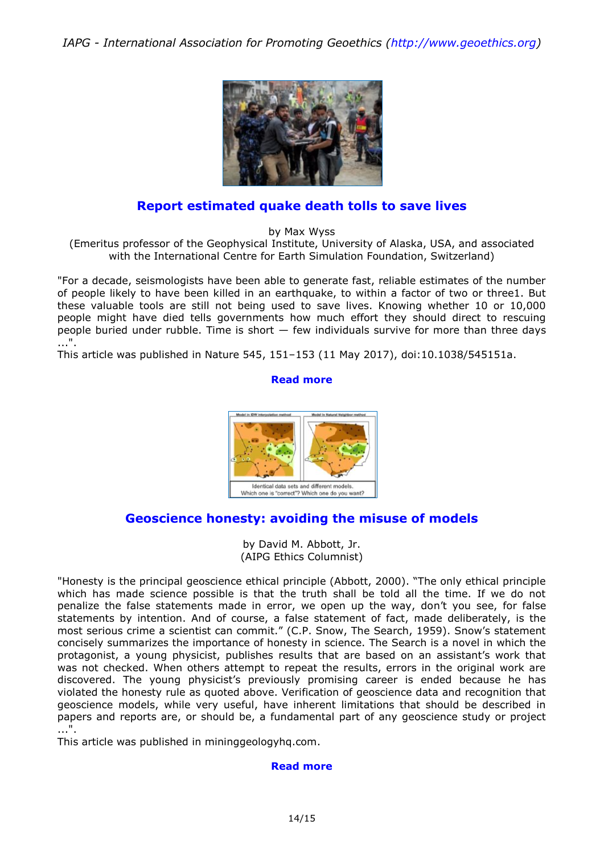

### **[Report estimated quake death tolls to save lives](http://www.nature.com/news/report-estimated-quake-death-tolls-to-save-lives-1.21953)**

by Max Wyss

(Emeritus professor of the Geophysical Institute, University of Alaska, USA, and associated with the International Centre for Earth Simulation Foundation, Switzerland)

"For a decade, seismologists have been able to generate fast, reliable estimates of the number of people likely to have been killed in an earthquake, to within a factor of two or three1. But these valuable tools are still not being used to save lives. Knowing whether 10 or 10,000 people might have died tells governments how much effort they should direct to rescuing people buried under rubble. Time is short  $-$  few individuals survive for more than three days ...".

This article was published in Nature 545, 151–153 (11 May 2017), doi:10.1038/545151a.

#### **[Read more](http://www.nature.com/news/report-estimated-quake-death-tolls-to-save-lives-1.21953)**



### **Geoscience honesty: [avoiding the misuse of models](http://www.mininggeologyhq.com/geoscience-honesty/)**

by David M. Abbott, Jr. (AIPG Ethics Columnist)

"Honesty is the principal geoscience ethical principle (Abbott, 2000). "The only ethical principle which has made science possible is that the truth shall be told all the time. If we do not penalize the false statements made in error, we open up the way, don't you see, for false statements by intention. And of course, a false statement of fact, made deliberately, is the most serious crime a scientist can commit." (C.P. Snow, The Search, 1959). Snow's statement concisely summarizes the importance of honesty in science. The Search is a novel in which the protagonist, a young physicist, publishes results that are based on an assistant's work that was not checked. When others attempt to repeat the results, errors in the original work are discovered. The young physicist's previously promising career is ended because he has violated the honesty rule as quoted above. Verification of geoscience data and recognition that geoscience models, while very useful, have inherent limitations that should be described in papers and reports are, or should be, a fundamental part of any geoscience study or project ...".

This article was published in mininggeologyhq.com.